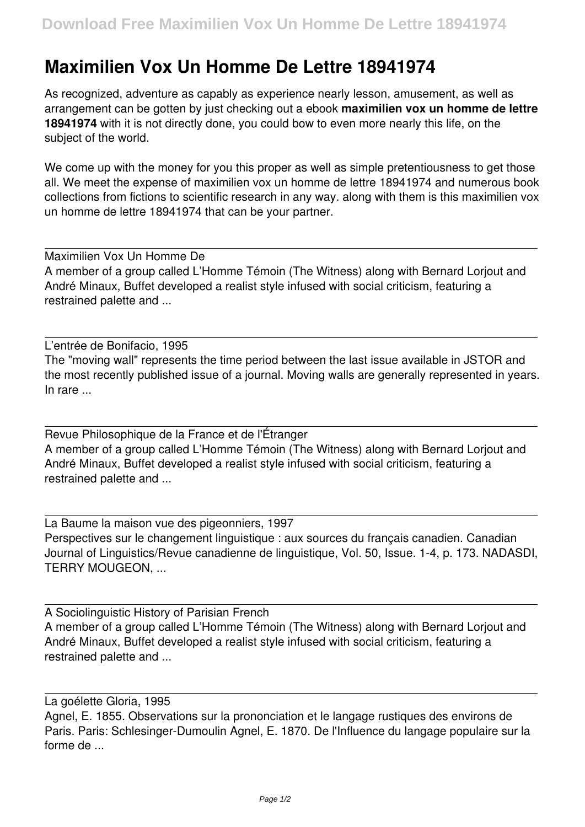## **Maximilien Vox Un Homme De Lettre 18941974**

As recognized, adventure as capably as experience nearly lesson, amusement, as well as arrangement can be gotten by just checking out a ebook **maximilien vox un homme de lettre 18941974** with it is not directly done, you could bow to even more nearly this life, on the subject of the world.

We come up with the money for you this proper as well as simple pretentiousness to get those all. We meet the expense of maximilien vox un homme de lettre 18941974 and numerous book collections from fictions to scientific research in any way. along with them is this maximilien vox un homme de lettre 18941974 that can be your partner.

Maximilien Vox Un Homme De A member of a group called L'Homme Témoin (The Witness) along with Bernard Lorjout and André Minaux, Buffet developed a realist style infused with social criticism, featuring a restrained palette and ...

L'entrée de Bonifacio, 1995 The "moving wall" represents the time period between the last issue available in JSTOR and the most recently published issue of a journal. Moving walls are generally represented in years. In rare ...

Revue Philosophique de la France et de l'Étranger A member of a group called L'Homme Témoin (The Witness) along with Bernard Lorjout and André Minaux, Buffet developed a realist style infused with social criticism, featuring a restrained palette and ...

La Baume la maison vue des pigeonniers, 1997 Perspectives sur le changement linguistique : aux sources du français canadien. Canadian Journal of Linguistics/Revue canadienne de linguistique, Vol. 50, Issue. 1-4, p. 173. NADASDI, TERRY MOUGEON, ...

A Sociolinguistic History of Parisian French A member of a group called L'Homme Témoin (The Witness) along with Bernard Lorjout and André Minaux, Buffet developed a realist style infused with social criticism, featuring a restrained palette and ...

La goélette Gloria, 1995

Agnel, E. 1855. Observations sur la prononciation et le langage rustiques des environs de Paris. Paris: Schlesinger-Dumoulin Agnel, E. 1870. De l'Influence du langage populaire sur la forme de ...